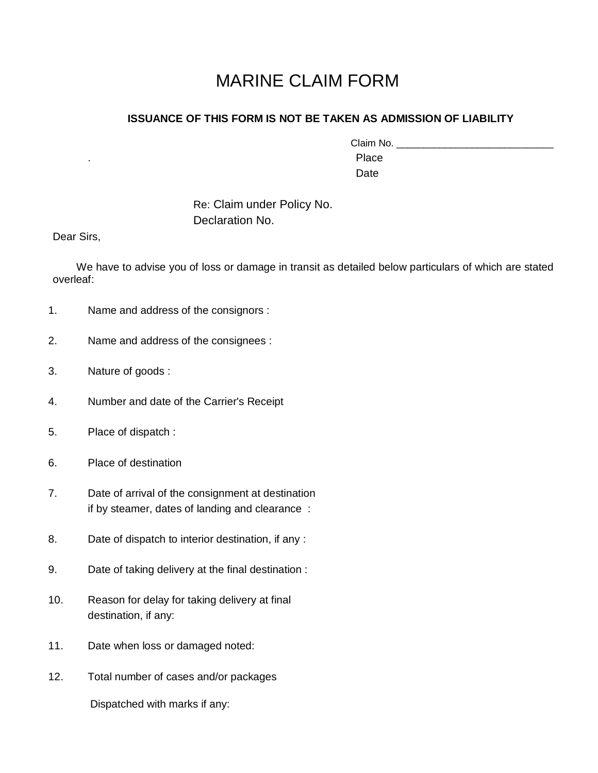## MARINE CLAIM FORM

## **ISSUANCE OF THIS FORM IS NOT BE TAKEN AS ADMISSION OF LIABILITY**

| Claim No. |  |
|-----------|--|
| Place     |  |
| Date      |  |

Re: Claim under Policy No. Declaration No.

Dear Sirs,

 We have to advise you of loss or damage in transit as detailed below particulars of which are stated overleaf:

- 1. Name and address of the consignors :
- 2. Name and address of the consignees :
- 3. Nature of goods :
- 4. Number and date of the Carrier's Receipt
- 5. Place of dispatch :
- 6. Place of destination
- 7. Date of arrival of the consignment at destination if by steamer, dates of landing and clearance :
- 8. Date of dispatch to interior destination, if any :
- 9. Date of taking delivery at the final destination :
- 10. Reason for delay for taking delivery at final destination, if any:
- 11. Date when loss or damaged noted:
- 12. Total number of cases and/or packages

Dispatched with marks if any: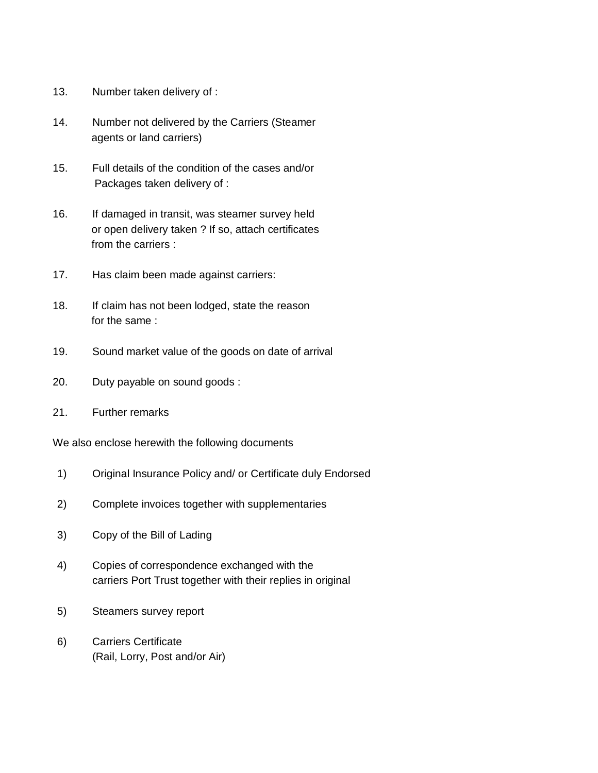- 13. Number taken delivery of :
- 14. Number not delivered by the Carriers (Steamer agents or land carriers)
- 15. Full details of the condition of the cases and/or Packages taken delivery of :
- 16. If damaged in transit, was steamer survey held or open delivery taken ? If so, attach certificates from the carriers :
- 17. Has claim been made against carriers:
- 18. If claim has not been lodged, state the reason for the same :
- 19. Sound market value of the goods on date of arrival
- 20. Duty payable on sound goods :
- 21. Further remarks

We also enclose herewith the following documents

- 1) Original Insurance Policy and/ or Certificate duly Endorsed
- 2) Complete invoices together with supplementaries
- 3) Copy of the Bill of Lading
- 4) Copies of correspondence exchanged with the carriers Port Trust together with their replies in original
- 5) Steamers survey report
- 6) Carriers Certificate (Rail, Lorry, Post and/or Air)